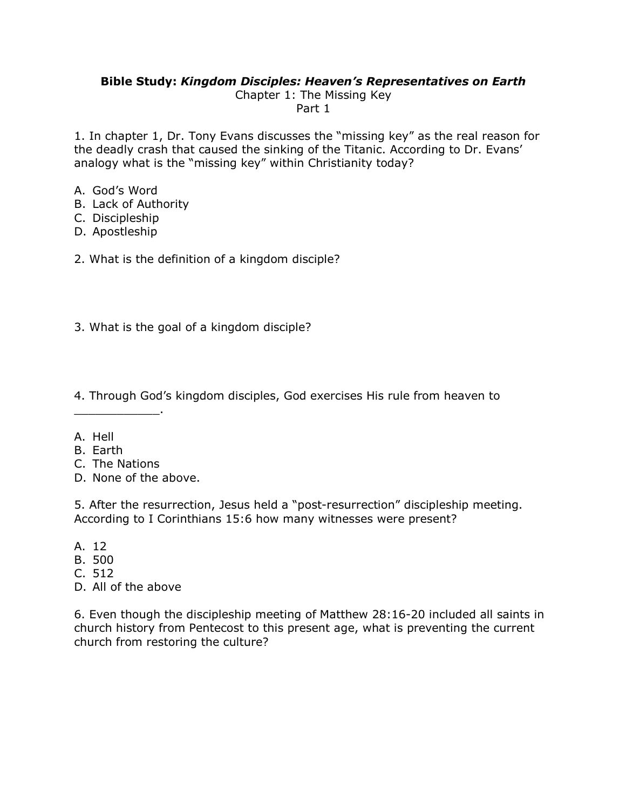## **Bible Study:** *Kingdom Disciples: Heaven's Representatives on Earth*

Chapter 1: The Missing Key Part 1

1. In chapter 1, Dr. Tony Evans discusses the "missing key" as the real reason for the deadly crash that caused the sinking of the Titanic. According to Dr. Evans' analogy what is the "missing key" within Christianity today?

- A. God's Word
- B. Lack of Authority
- C. Discipleship
- D. Apostleship

2. What is the definition of a kingdom disciple?

3. What is the goal of a kingdom disciple?

4. Through God's kingdom disciples, God exercises His rule from heaven to

- A. Hell
- B. Earth
- C. The Nations

\_\_\_\_\_\_\_\_\_\_\_\_.

D. None of the above.

5. After the resurrection, Jesus held a "post-resurrection" discipleship meeting. According to I Corinthians 15:6 how many witnesses were present?

- A. 12
- B. 500
- C. 512
- D. All of the above

6. Even though the discipleship meeting of Matthew 28:16-20 included all saints in church history from Pentecost to this present age, what is preventing the current church from restoring the culture?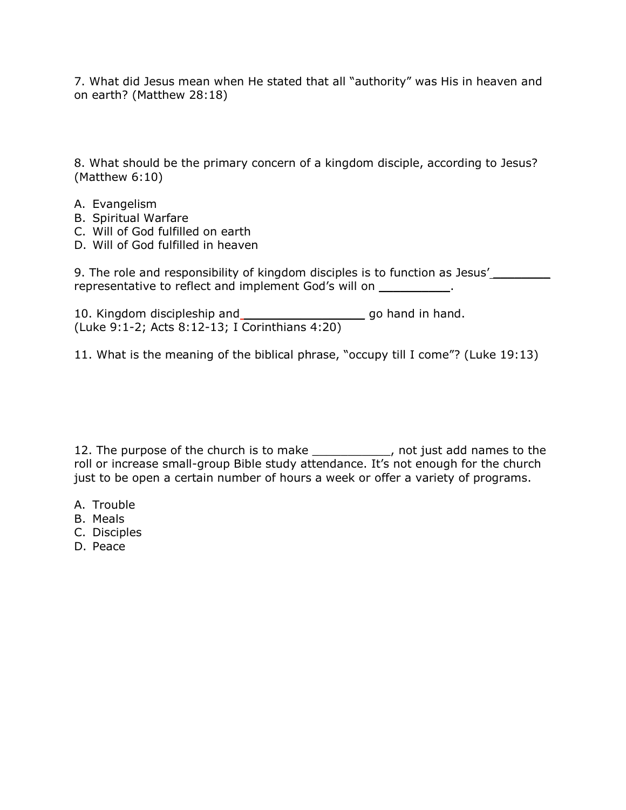7. What did Jesus mean when He stated that all "authority" was His in heaven and on earth? (Matthew 28:18)

8. What should be the primary concern of a kingdom disciple, according to Jesus? (Matthew 6:10)

- A. Evangelism
- B. Spiritual Warfare
- C. Will of God fulfilled on earth
- D. Will of God fulfilled in heaven

9. The role and responsibility of kingdom disciples is to function as Jesus' \_\_\_\_\_\_\_\_\_ representative to reflect and implement God's will on \_\_\_\_\_\_\_\_\_\_.

10. Kingdom discipleship and \_\_\_\_\_\_\_\_\_\_\_\_\_\_\_\_\_\_\_\_\_\_\_\_\_ go hand in hand. (Luke 9:1-2; Acts 8:12-13; I Corinthians 4:20)

11. What is the meaning of the biblical phrase, "occupy till I come"? (Luke 19:13)

12. The purpose of the church is to make \_\_\_\_\_\_\_\_\_\_\_, not just add names to the roll or increase small-group Bible study attendance. It's not enough for the church just to be open a certain number of hours a week or offer a variety of programs.

- A. Trouble
- B. Meals
- C. Disciples
- D. Peace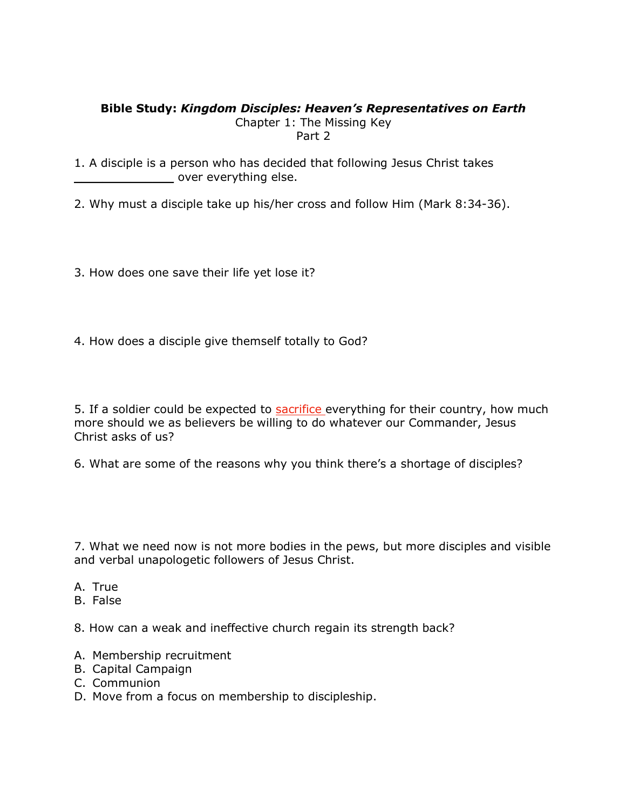## **Bible Study:** *Kingdom Disciples: Heaven's Representatives on Earth*

Chapter 1: The Missing Key Part 2

1. A disciple is a person who has decided that following Jesus Christ takes over everything else.

2. Why must a disciple take up his/her cross and follow Him (Mark 8:34-36).

- 3. How does one save their life yet lose it?
- 4. How does a disciple give themself totally to God?

5. If a soldier could be expected to **sacrifice** everything for their country, how much more should we as believers be willing to do whatever our Commander, Jesus Christ asks of us?

6. What are some of the reasons why you think there's a shortage of disciples?

7. What we need now is not more bodies in the pews, but more disciples and visible and verbal unapologetic followers of Jesus Christ.

- A. True
- B. False

8. How can a weak and ineffective church regain its strength back?

- A. Membership recruitment
- B. Capital Campaign
- C. Communion
- D. Move from a focus on membership to discipleship.